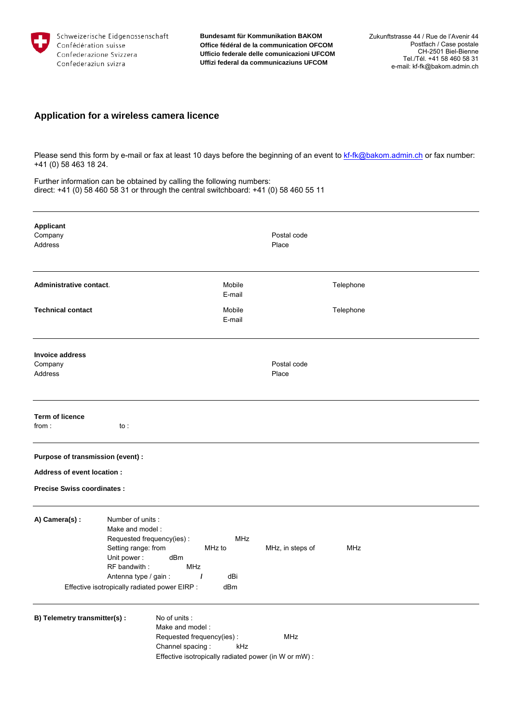

**Bundesamt für Kommunikation BAKOM Office fédéral de la communication OFCOM Ufficio federale delle comunicazioni UFCOM Uffizi federal da communicaziuns UFCOM**

## **Application for a wireless camera licence**

Please send this form by e-mail or fax at least 10 days before the beginning of an event to kf-fk@bakom.admin.ch or fax number: +41 (0) 58 463 18 24.

Further information can be obtained by calling the following numbers: direct: +41 (0) 58 460 58 31 or through the central switchboard: +41 (0) 58 460 55 11

| <b>Applicant</b><br>Company<br><b>Address</b>                    |                                                                                                                    |                                                                                                                                            |                                    | Postal code<br>Place |            |  |
|------------------------------------------------------------------|--------------------------------------------------------------------------------------------------------------------|--------------------------------------------------------------------------------------------------------------------------------------------|------------------------------------|----------------------|------------|--|
| Administrative contact.                                          |                                                                                                                    |                                                                                                                                            | Mobile<br>E-mail                   |                      | Telephone  |  |
| <b>Technical contact</b>                                         |                                                                                                                    |                                                                                                                                            | Mobile<br>E-mail                   |                      | Telephone  |  |
| <b>Invoice address</b><br>Company<br>Address                     |                                                                                                                    |                                                                                                                                            |                                    | Postal code<br>Place |            |  |
| <b>Term of licence</b><br>from:                                  | to :                                                                                                               |                                                                                                                                            |                                    |                      |            |  |
| Purpose of transmission (event) :                                |                                                                                                                    |                                                                                                                                            |                                    |                      |            |  |
| Address of event location :<br><b>Precise Swiss coordinates:</b> |                                                                                                                    |                                                                                                                                            |                                    |                      |            |  |
| A) Camera(s) :                                                   | Number of units:<br>Make and model:<br>Setting range: from<br>Unit power:<br>RF bandwith:<br>Antenna type / gain : | Requested frequency(ies):<br>dBm<br>MHz<br>$\prime$<br>Effective isotropically radiated power EIRP :                                       | <b>MHz</b><br>MHz to<br>dBi<br>dBm | MHz, in steps of     | <b>MHz</b> |  |
| B) Telemetry transmitter(s) :                                    |                                                                                                                    | No of units :<br>Make and model:<br>Requested frequency(ies):<br>Channel spacing:<br>Effective isotropically radiated power (in W or mW) : | kHz                                | MHz                  |            |  |